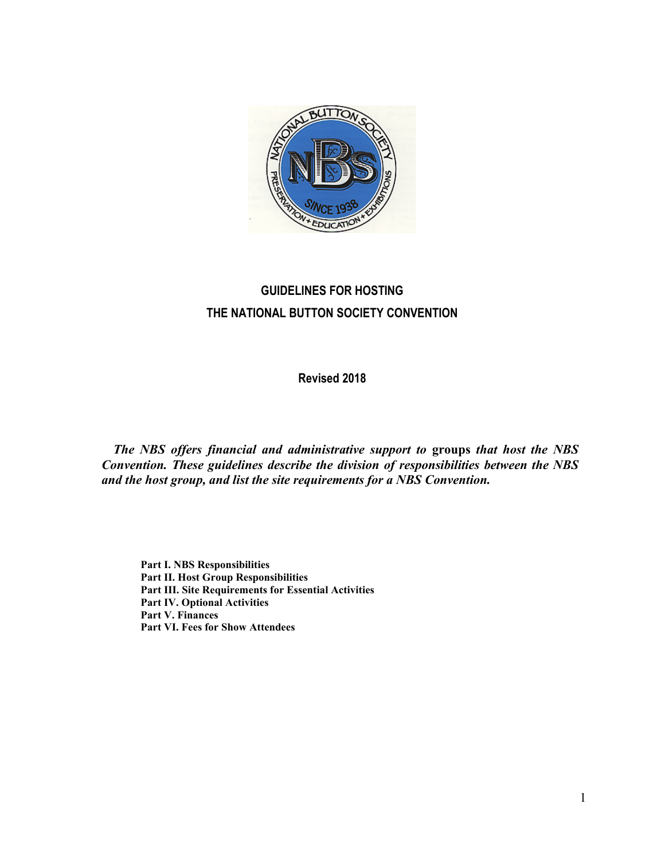

# **GUIDELINES FOR HOSTING THE NATIONAL BUTTON SOCIETY CONVENTION**

**Revised 2018**

*The NBS offers financial and administrative support to* **groups** *that host the NBS Convention. These guidelines describe the division of responsibilities between the NBS and the host group, and list the site requirements for a NBS Convention.*

**Part I. NBS Responsibilities Part II. Host Group Responsibilities Part III. Site Requirements for Essential Activities Part IV. Optional Activities Part V. Finances Part VI. Fees for Show Attendees**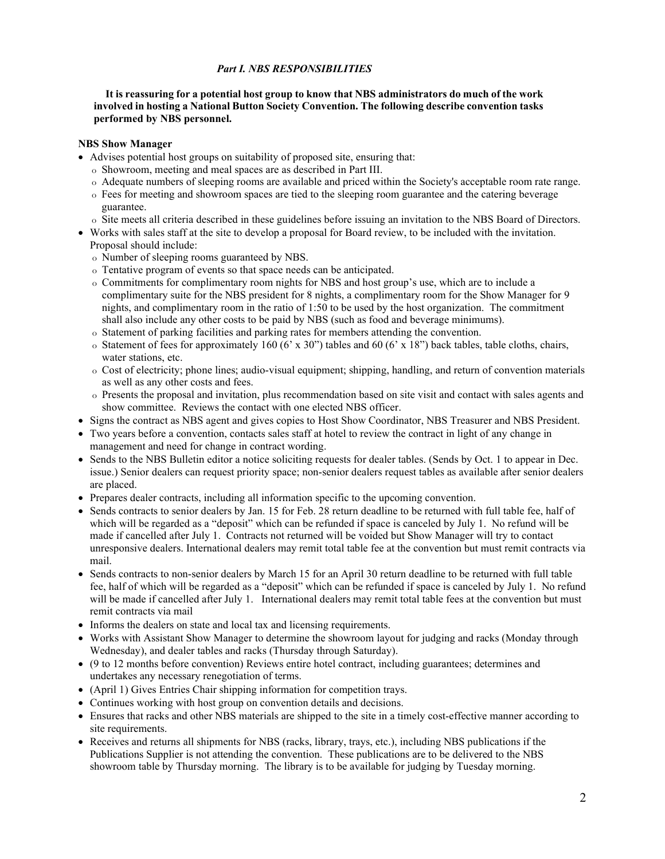## *Part I. NBS RESPONSIBILITIES*

**It is reassuring for a potential host group to know that NBS administrators do much of the work involved in hosting a National Button Society Convention. The following describe convention tasks performed by NBS personnel.**

#### **NBS Show Manager**

- Advises potential host groups on suitability of proposed site, ensuring that:
	- o Showroom, meeting and meal spaces are as described in Part III.
	- o Adequate numbers of sleeping rooms are available and priced within the Society's acceptable room rate range.
	- o Fees for meeting and showroom spaces are tied to the sleeping room guarantee and the catering beverage guarantee.
	- o Site meets all criteria described in these guidelines before issuing an invitation to the NBS Board of Directors.
- Works with sales staff at the site to develop a proposal for Board review, to be included with the invitation. Proposal should include:
	- o Number of sleeping rooms guaranteed by NBS.
	- o Tentative program of events so that space needs can be anticipated.
	- o Commitments for complimentary room nights for NBS and host group's use, which are to include a complimentary suite for the NBS president for 8 nights, a complimentary room for the Show Manager for 9 nights, and complimentary room in the ratio of 1:50 to be used by the host organization. The commitment shall also include any other costs to be paid by NBS (such as food and beverage minimums).
	- o Statement of parking facilities and parking rates for members attending the convention.
	- $\circ$  Statement of fees for approximately 160 (6' x 30") tables and 60 (6' x 18") back tables, table cloths, chairs, water stations, etc.
	- o Cost of electricity; phone lines; audio-visual equipment; shipping, handling, and return of convention materials as well as any other costs and fees.
	- o Presents the proposal and invitation, plus recommendation based on site visit and contact with sales agents and show committee. Reviews the contact with one elected NBS officer.
- Signs the contract as NBS agent and gives copies to Host Show Coordinator, NBS Treasurer and NBS President.
- Two years before a convention, contacts sales staff at hotel to review the contract in light of any change in management and need for change in contract wording.
- Sends to the NBS Bulletin editor a notice soliciting requests for dealer tables. (Sends by Oct. 1 to appear in Dec. issue.) Senior dealers can request priority space; non-senior dealers request tables as available after senior dealers are placed.
- Prepares dealer contracts, including all information specific to the upcoming convention.
- Sends contracts to senior dealers by Jan. 15 for Feb. 28 return deadline to be returned with full table fee, half of which will be regarded as a "deposit" which can be refunded if space is canceled by July 1. No refund will be made if cancelled after July 1. Contracts not returned will be voided but Show Manager will try to contact unresponsive dealers. International dealers may remit total table fee at the convention but must remit contracts via mail.
- Sends contracts to non-senior dealers by March 15 for an April 30 return deadline to be returned with full table fee, half of which will be regarded as a "deposit" which can be refunded if space is canceled by July 1. No refund will be made if cancelled after July 1. International dealers may remit total table fees at the convention but must remit contracts via mail
- Informs the dealers on state and local tax and licensing requirements.
- Works with Assistant Show Manager to determine the showroom layout for judging and racks (Monday through Wednesday), and dealer tables and racks (Thursday through Saturday).
- (9 to 12 months before convention) Reviews entire hotel contract, including guarantees; determines and undertakes any necessary renegotiation of terms.
- (April 1) Gives Entries Chair shipping information for competition trays.
- Continues working with host group on convention details and decisions.
- Ensures that racks and other NBS materials are shipped to the site in a timely cost-effective manner according to site requirements.
- Receives and returns all shipments for NBS (racks, library, trays, etc.), including NBS publications if the Publications Supplier is not attending the convention. These publications are to be delivered to the NBS showroom table by Thursday morning. The library is to be available for judging by Tuesday morning.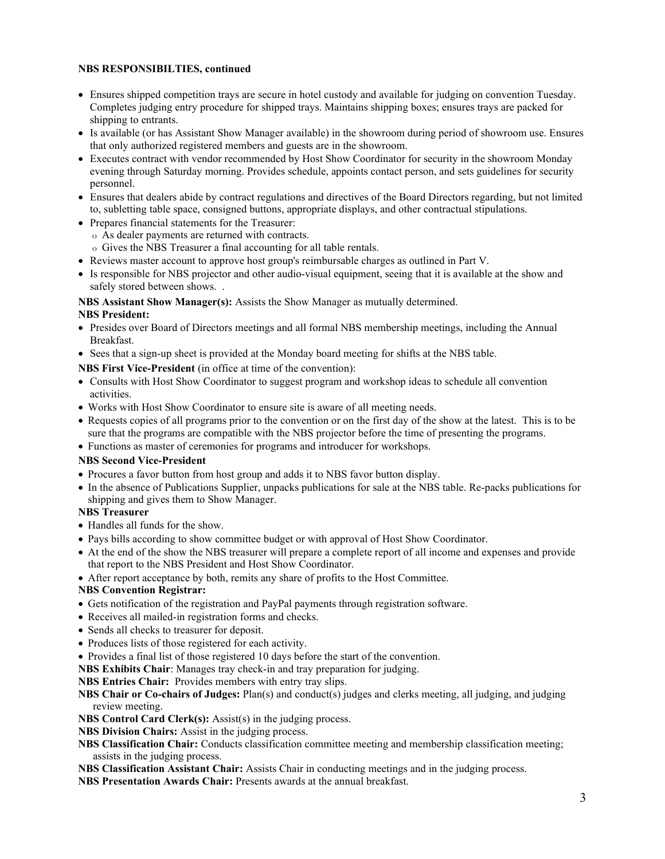### **NBS RESPONSIBILTIES, continued**

- Ensures shipped competition trays are secure in hotel custody and available for judging on convention Tuesday. Completes judging entry procedure for shipped trays. Maintains shipping boxes; ensures trays are packed for shipping to entrants.
- Is available (or has Assistant Show Manager available) in the showroom during period of showroom use. Ensures that only authorized registered members and guests are in the showroom.
- Executes contract with vendor recommended by Host Show Coordinator for security in the showroom Monday evening through Saturday morning. Provides schedule, appoints contact person, and sets guidelines for security personnel.
- Ensures that dealers abide by contract regulations and directives of the Board Directors regarding, but not limited to, subletting table space, consigned buttons, appropriate displays, and other contractual stipulations.
- Prepares financial statements for the Treasurer:
	- o As dealer payments are returned with contracts.
	- o Gives the NBS Treasurer a final accounting for all table rentals.
- Reviews master account to approve host group's reimbursable charges as outlined in Part V.
- Is responsible for NBS projector and other audio-visual equipment, seeing that it is available at the show and safely stored between shows. .

**NBS Assistant Show Manager(s):** Assists the Show Manager as mutually determined.

- **NBS President:**
- Presides over Board of Directors meetings and all formal NBS membership meetings, including the Annual Breakfast.
- Sees that a sign-up sheet is provided at the Monday board meeting for shifts at the NBS table.

### **NBS First Vice-President** (in office at time of the convention):

- Consults with Host Show Coordinator to suggest program and workshop ideas to schedule all convention activities.
- Works with Host Show Coordinator to ensure site is aware of all meeting needs.
- Requests copies of all programs prior to the convention or on the first day of the show at the latest. This is to be sure that the programs are compatible with the NBS projector before the time of presenting the programs.
- Functions as master of ceremonies for programs and introducer for workshops.

#### **NBS Second Vice-President**

- Procures a favor button from host group and adds it to NBS favor button display.
- In the absence of Publications Supplier, unpacks publications for sale at the NBS table. Re-packs publications for shipping and gives them to Show Manager.

## **NBS Treasurer**

- Handles all funds for the show.
- Pays bills according to show committee budget or with approval of Host Show Coordinator.
- At the end of the show the NBS treasurer will prepare a complete report of all income and expenses and provide that report to the NBS President and Host Show Coordinator.

• After report acceptance by both, remits any share of profits to the Host Committee.

## **NBS Convention Registrar:**

- Gets notification of the registration and PayPal payments through registration software.
- Receives all mailed-in registration forms and checks.
- Sends all checks to treasurer for deposit.
- Produces lists of those registered for each activity.
- Provides a final list of those registered 10 days before the start of the convention.

**NBS Exhibits Chair**: Manages tray check-in and tray preparation for judging.

**NBS Entries Chair:** Provides members with entry tray slips.

**NBS Chair or Co-chairs of Judges:** Plan(s) and conduct(s) judges and clerks meeting, all judging, and judging review meeting.

**NBS Control Card Clerk(s):** Assist(s) in the judging process.

**NBS Division Chairs:** Assist in the judging process.

**NBS Classification Chair:** Conducts classification committee meeting and membership classification meeting; assists in the judging process.

**NBS Classification Assistant Chair:** Assists Chair in conducting meetings and in the judging process.

**NBS Presentation Awards Chair:** Presents awards at the annual breakfast.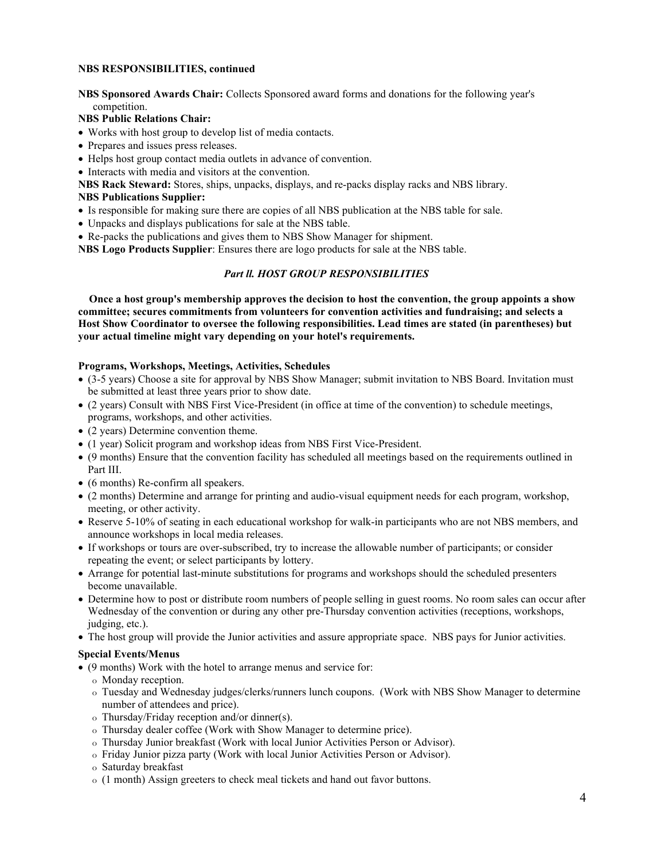#### **NBS RESPONSIBILITIES, continued**

**NBS Sponsored Awards Chair:** Collects Sponsored award forms and donations for the following year's competition.

#### **NBS Public Relations Chair:**

- Works with host group to develop list of media contacts.
- Prepares and issues press releases.
- Helps host group contact media outlets in advance of convention.
- Interacts with media and visitors at the convention.

**NBS Rack Steward:** Stores, ships, unpacks, displays, and re-packs display racks and NBS library. **NBS Publications Supplier:** 

- Is responsible for making sure there are copies of all NBS publication at the NBS table for sale.
- Unpacks and displays publications for sale at the NBS table.
- Re-packs the publications and gives them to NBS Show Manager for shipment.

**NBS Logo Products Supplier**: Ensures there are logo products for sale at the NBS table.

## *Part ll. HOST GROUP RESPONSIBILITIES*

 **Once a host group's membership approves the decision to host the convention, the group appoints a show committee; secures commitments from volunteers for convention activities and fundraising; and selects a Host Show Coordinator to oversee the following responsibilities. Lead times are stated (in parentheses) but your actual timeline might vary depending on your hotel's requirements.**

#### **Programs, Workshops, Meetings, Activities, Schedules**

- (3-5 years) Choose a site for approval by NBS Show Manager; submit invitation to NBS Board. Invitation must be submitted at least three years prior to show date.
- (2 years) Consult with NBS First Vice-President (in office at time of the convention) to schedule meetings, programs, workshops, and other activities.
- (2 years) Determine convention theme.
- (1 year) Solicit program and workshop ideas from NBS First Vice-President.
- (9 months) Ensure that the convention facility has scheduled all meetings based on the requirements outlined in Part III.
- (6 months) Re-confirm all speakers.
- (2 months) Determine and arrange for printing and audio-visual equipment needs for each program, workshop, meeting, or other activity.
- Reserve 5-10% of seating in each educational workshop for walk-in participants who are not NBS members, and announce workshops in local media releases.
- If workshops or tours are over-subscribed, try to increase the allowable number of participants; or consider repeating the event; or select participants by lottery.
- Arrange for potential last-minute substitutions for programs and workshops should the scheduled presenters become unavailable.
- Determine how to post or distribute room numbers of people selling in guest rooms. No room sales can occur after Wednesday of the convention or during any other pre-Thursday convention activities (receptions, workshops, judging, etc.).
- The host group will provide the Junior activities and assure appropriate space. NBS pays for Junior activities.

#### **Special Events/Menus**

- (9 months) Work with the hotel to arrange menus and service for:
	- o Monday reception.
	- o Tuesday and Wednesday judges/clerks/runners lunch coupons. (Work with NBS Show Manager to determine number of attendees and price).
	- o Thursday/Friday reception and/or dinner(s).
	- o Thursday dealer coffee (Work with Show Manager to determine price).
	- o Thursday Junior breakfast (Work with local Junior Activities Person or Advisor).
	- o Friday Junior pizza party (Work with local Junior Activities Person or Advisor).
	- o Saturday breakfast
	- o (1 month) Assign greeters to check meal tickets and hand out favor buttons.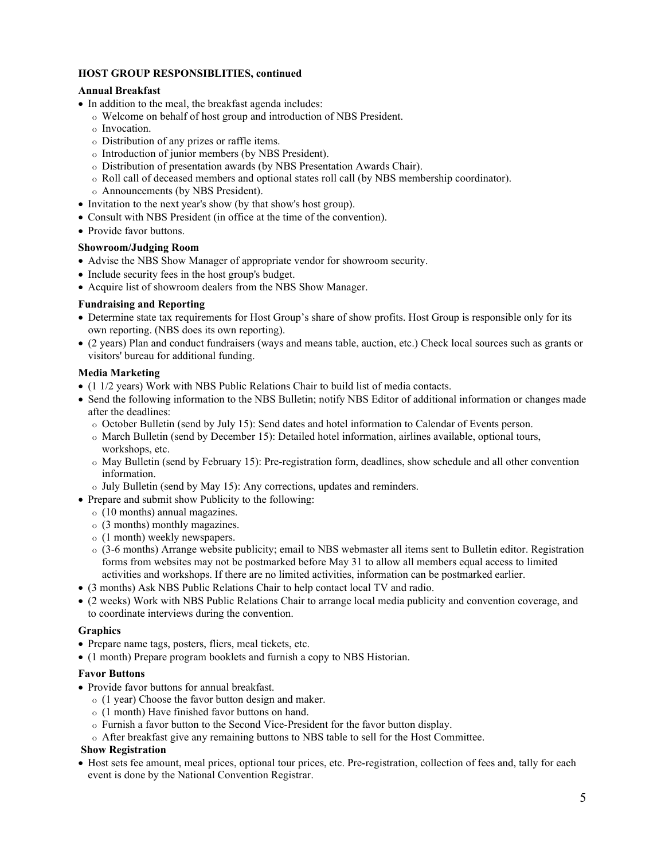#### **HOST GROUP RESPONSIBLITIES, continued**

#### **Annual Breakfast**

- In addition to the meal, the breakfast agenda includes:
	- o Welcome on behalf of host group and introduction of NBS President.
	- o Invocation.
	- o Distribution of any prizes or raffle items.
	- o Introduction of junior members (by NBS President).
	- o Distribution of presentation awards (by NBS Presentation Awards Chair).
	- o Roll call of deceased members and optional states roll call (by NBS membership coordinator).
	- o Announcements (by NBS President).
- Invitation to the next year's show (by that show's host group).
- Consult with NBS President (in office at the time of the convention).
- Provide favor buttons.

### **Showroom/Judging Room**

- Advise the NBS Show Manager of appropriate vendor for showroom security.
- Include security fees in the host group's budget.
- Acquire list of showroom dealers from the NBS Show Manager.

### **Fundraising and Reporting**

- Determine state tax requirements for Host Group's share of show profits. Host Group is responsible only for its own reporting. (NBS does its own reporting).
- (2 years) Plan and conduct fundraisers (ways and means table, auction, etc.) Check local sources such as grants or visitors' bureau for additional funding.

### **Media Marketing**

- (1 1/2 years) Work with NBS Public Relations Chair to build list of media contacts.
- Send the following information to the NBS Bulletin; notify NBS Editor of additional information or changes made after the deadlines:
	- o October Bulletin (send by July 15): Send dates and hotel information to Calendar of Events person.
	- o March Bulletin (send by December 15): Detailed hotel information, airlines available, optional tours, workshops, etc.
	- o May Bulletin (send by February 15): Pre-registration form, deadlines, show schedule and all other convention information.
	- o July Bulletin (send by May 15): Any corrections, updates and reminders.
- Prepare and submit show Publicity to the following:
	- o (10 months) annual magazines.
	- o (3 months) monthly magazines.
	- o (1 month) weekly newspapers.
	- o (3-6 months) Arrange website publicity; email to NBS webmaster all items sent to Bulletin editor. Registration forms from websites may not be postmarked before May 31 to allow all members equal access to limited activities and workshops. If there are no limited activities, information can be postmarked earlier.
- (3 months) Ask NBS Public Relations Chair to help contact local TV and radio.
- (2 weeks) Work with NBS Public Relations Chair to arrange local media publicity and convention coverage, and to coordinate interviews during the convention.

## **Graphics**

- Prepare name tags, posters, fliers, meal tickets, etc.
- (1 month) Prepare program booklets and furnish a copy to NBS Historian.

## **Favor Buttons**

- Provide favor buttons for annual breakfast.
	- o (1 year) Choose the favor button design and maker.
	- o (1 month) Have finished favor buttons on hand.
	- o Furnish a favor button to the Second Vice-President for the favor button display.
	- o After breakfast give any remaining buttons to NBS table to sell for the Host Committee.

#### **Show Registration**

• Host sets fee amount, meal prices, optional tour prices, etc. Pre-registration, collection of fees and, tally for each event is done by the National Convention Registrar.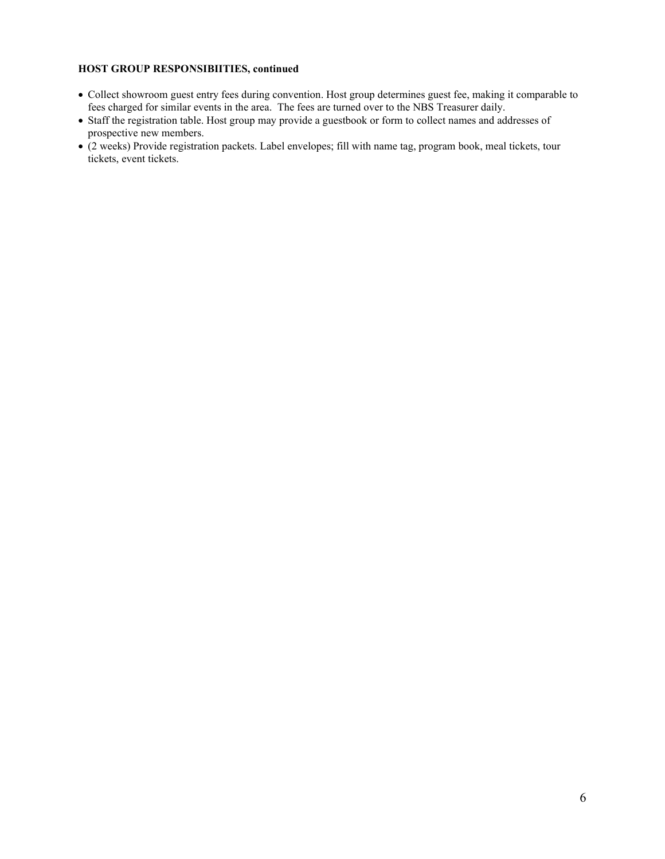#### **HOST GROUP RESPONSIBIITIES, continued**

- Collect showroom guest entry fees during convention. Host group determines guest fee, making it comparable to fees charged for similar events in the area. The fees are turned over to the NBS Treasurer daily.
- Staff the registration table. Host group may provide a guestbook or form to collect names and addresses of prospective new members.
- (2 weeks) Provide registration packets. Label envelopes; fill with name tag, program book, meal tickets, tour tickets, event tickets.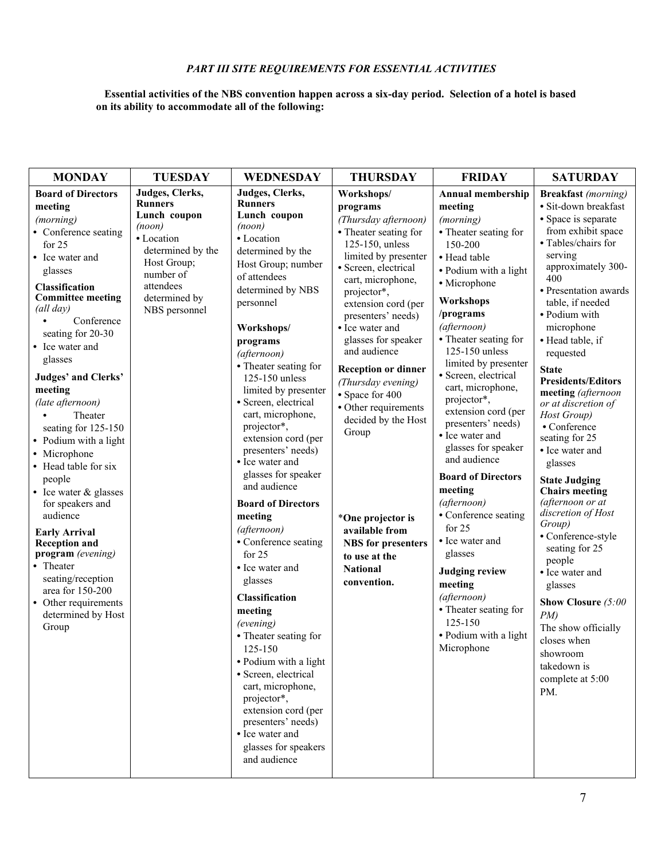## *PART III SITE REQUIREMENTS FOR ESSENTIAL ACTIVITIES*

#### **Essential activities of the NBS convention happen across a six-day period. Selection of a hotel is based on its ability to accommodate all of the following:**

| <b>MONDAY</b>                                                                                                                                                                                                                                                                                                                                                                                                                                                                                                                                                                                                                                                                     | <b>TUESDAY</b>                                                                                                                                                            | <b>WEDNESDAY</b>                                                                                                                                                                                                                                                                                                                                                                                                                                                                                                                                                                                                                                                                                                                                                                                                                                          | <b>THURSDAY</b>                                                                                                                                                                                                                                                                                                                                                                                                                                                                                                                             | <b>FRIDAY</b>                                                                                                                                                                                                                                                                                                                                                                                                                                                                                                                                                                                                                                                                       | <b>SATURDAY</b>                                                                                                                                                                                                                                                                                                                                                                                                                                                                                                                                                                                                                                                                                                                                                   |
|-----------------------------------------------------------------------------------------------------------------------------------------------------------------------------------------------------------------------------------------------------------------------------------------------------------------------------------------------------------------------------------------------------------------------------------------------------------------------------------------------------------------------------------------------------------------------------------------------------------------------------------------------------------------------------------|---------------------------------------------------------------------------------------------------------------------------------------------------------------------------|-----------------------------------------------------------------------------------------------------------------------------------------------------------------------------------------------------------------------------------------------------------------------------------------------------------------------------------------------------------------------------------------------------------------------------------------------------------------------------------------------------------------------------------------------------------------------------------------------------------------------------------------------------------------------------------------------------------------------------------------------------------------------------------------------------------------------------------------------------------|---------------------------------------------------------------------------------------------------------------------------------------------------------------------------------------------------------------------------------------------------------------------------------------------------------------------------------------------------------------------------------------------------------------------------------------------------------------------------------------------------------------------------------------------|-------------------------------------------------------------------------------------------------------------------------------------------------------------------------------------------------------------------------------------------------------------------------------------------------------------------------------------------------------------------------------------------------------------------------------------------------------------------------------------------------------------------------------------------------------------------------------------------------------------------------------------------------------------------------------------|-------------------------------------------------------------------------------------------------------------------------------------------------------------------------------------------------------------------------------------------------------------------------------------------------------------------------------------------------------------------------------------------------------------------------------------------------------------------------------------------------------------------------------------------------------------------------------------------------------------------------------------------------------------------------------------------------------------------------------------------------------------------|
| <b>Board of Directors</b><br>meeting<br>(morning)<br>• Conference seating<br>for $25$<br>• Ice water and<br>glasses<br>Classification<br><b>Committee meeting</b><br>(all day)<br>Conference<br>seating for 20-30<br>• Ice water and<br>glasses<br><b>Judges' and Clerks'</b><br>meeting<br>(late afternoon)<br>Theater<br>$\bullet$<br>seating for 125-150<br>• Podium with a light<br>• Microphone<br>• Head table for six<br>people<br>• Ice water & glasses<br>for speakers and<br>audience<br><b>Early Arrival</b><br><b>Reception and</b><br>program (evening)<br>• Theater<br>seating/reception<br>area for 150-200<br>• Other requirements<br>determined by Host<br>Group | Judges, Clerks,<br><b>Runners</b><br>Lunch coupon<br>(noon)<br>• Location<br>determined by the<br>Host Group;<br>number of<br>attendees<br>determined by<br>NBS personnel | Judges, Clerks,<br><b>Runners</b><br>Lunch coupon<br>(noon)<br>• Location<br>determined by the<br>Host Group; number<br>of attendees<br>determined by NBS<br>personnel<br>Workshops/<br>programs<br>(afternoon)<br>• Theater seating for<br>125-150 unless<br>limited by presenter<br>· Screen, electrical<br>cart, microphone,<br>projector*,<br>extension cord (per<br>presenters' needs)<br>• Ice water and<br>glasses for speaker<br>and audience<br><b>Board of Directors</b><br>meeting<br>(afternoon)<br>• Conference seating<br>for $25$<br>• Ice water and<br>glasses<br>Classification<br>meeting<br>(evening)<br>• Theater seating for<br>125-150<br>• Podium with a light<br>· Screen, electrical<br>cart, microphone,<br>projector*,<br>extension cord (per<br>presenters' needs)<br>• Ice water and<br>glasses for speakers<br>and audience | Workshops/<br>programs<br>(Thursday afternoon)<br>• Theater seating for<br>125-150, unless<br>limited by presenter<br>· Screen, electrical<br>cart, microphone,<br>projector*,<br>extension cord (per<br>presenters' needs)<br>• Ice water and<br>glasses for speaker<br>and audience<br><b>Reception or dinner</b><br>(Thursday evening)<br>• Space for 400<br>· Other requirements<br>decided by the Host<br>Group<br>*One projector is<br>available from<br><b>NBS</b> for presenters<br>to use at the<br><b>National</b><br>convention. | <b>Annual membership</b><br>meeting<br>(morning)<br>• Theater seating for<br>150-200<br>• Head table<br>· Podium with a light<br>· Microphone<br>Workshops<br>/programs<br>(afternoon)<br>• Theater seating for<br>125-150 unless<br>limited by presenter<br>· Screen, electrical<br>cart, microphone,<br>projector*,<br>extension cord (per<br>presenters' needs)<br>• Ice water and<br>glasses for speaker<br>and audience<br><b>Board of Directors</b><br>meeting<br>(afternoon)<br>• Conference seating<br>for $25$<br>• Ice water and<br>glasses<br><b>Judging review</b><br>meeting<br>(afternoon)<br>• Theater seating for<br>125-150<br>· Podium with a light<br>Microphone | <b>Breakfast</b> (morning)<br>· Sit-down breakfast<br>• Space is separate<br>from exhibit space<br>· Tables/chairs for<br>serving<br>approximately 300-<br>400<br>• Presentation awards<br>table, if needed<br>· Podium with<br>microphone<br>• Head table, if<br>requested<br><b>State</b><br><b>Presidents/Editors</b><br>meeting (afternoon<br>or at discretion of<br>Host Group)<br>• Conference<br>seating for 25<br>• Ice water and<br>glasses<br><b>State Judging</b><br><b>Chairs</b> meeting<br>(afternoon or at<br>discretion of Host<br>Group)<br>• Conference-style<br>seating for 25<br>people<br>• Ice water and<br>glasses<br>Show Closure (5:00<br>PM<br>The show officially<br>closes when<br>showroom<br>takedown is<br>complete at 5:00<br>PM. |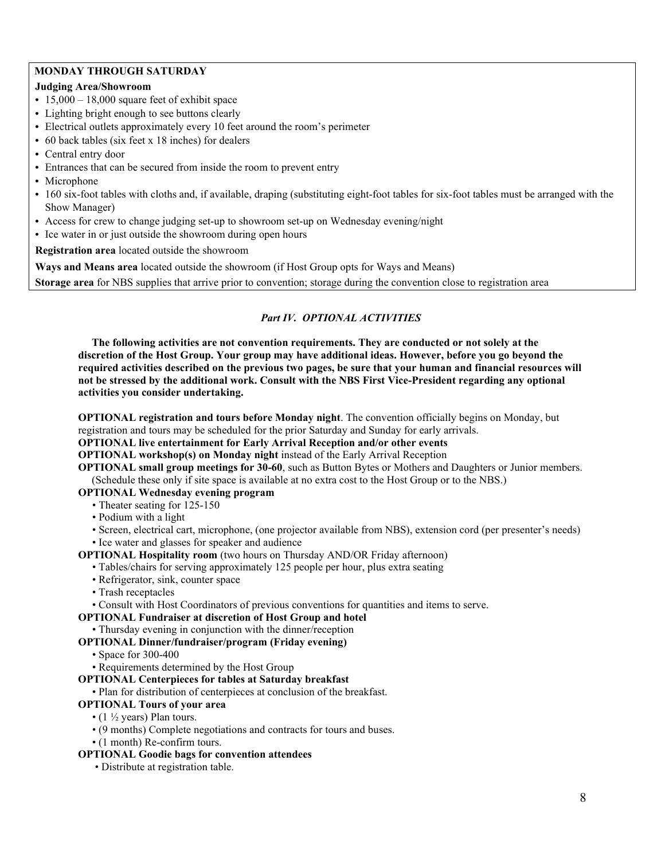### **MONDAY THROUGH SATURDAY**

## **Judging Area/Showroom**

- 15,000 18,000 square feet of exhibit space
- **•** Lighting bright enough to see buttons clearly
- **•** Electrical outlets approximately every 10 feet around the room's perimeter
- **•** 60 back tables (six feet x 18 inches) for dealers
- **•** Central entry door
- **•** Entrances that can be secured from inside the room to prevent entry
- **•** Microphone
- 160 six-foot tables with cloths and, if available, draping (substituting eight-foot tables for six-foot tables must be arranged with the Show Manager)
- **•** Access for crew to change judging set-up to showroom set-up on Wednesday evening/night
- **•** Ice water in or just outside the showroom during open hours

**Registration area** located outside the showroom

**Ways and Means area** located outside the showroom (if Host Group opts for Ways and Means)

**Storage area** for NBS supplies that arrive prior to convention; storage during the convention close to registration area

### *Part IV. OPTIONAL ACTIVITIES*

 **The following activities are not convention requirements. They are conducted or not solely at the discretion of the Host Group. Your group may have additional ideas. However, before you go beyond the required activities described on the previous two pages, be sure that your human and financial resources will not be stressed by the additional work. Consult with the NBS First Vice-President regarding any optional activities you consider undertaking.** 

**OPTIONAL registration and tours before Monday night**. The convention officially begins on Monday, but registration and tours may be scheduled for the prior Saturday and Sunday for early arrivals.

#### **OPTIONAL live entertainment for Early Arrival Reception and/or other events**

**OPTIONAL workshop(s) on Monday night** instead of the Early Arrival Reception

**OPTIONAL small group meetings for 30-60**, such as Button Bytes or Mothers and Daughters or Junior members. (Schedule these only if site space is available at no extra cost to the Host Group or to the NBS.)

#### **OPTIONAL Wednesday evening program**

• Theater seating for 125-150

• Podium with a light

• Screen, electrical cart, microphone, (one projector available from NBS), extension cord (per presenter's needs) • Ice water and glasses for speaker and audience

#### **OPTIONAL Hospitality room** (two hours on Thursday AND/OR Friday afternoon)

- Tables/chairs for serving approximately 125 people per hour, plus extra seating
- Refrigerator, sink, counter space
- Trash receptacles
- Consult with Host Coordinators of previous conventions for quantities and items to serve.

#### **OPTIONAL Fundraiser at discretion of Host Group and hotel**

• Thursday evening in conjunction with the dinner/reception

## **OPTIONAL Dinner/fundraiser/program (Friday evening)**

- Space for 300-400
- Requirements determined by the Host Group

#### **OPTIONAL Centerpieces for tables at Saturday breakfast**

• Plan for distribution of centerpieces at conclusion of the breakfast.

#### **OPTIONAL Tours of your area**

- (1  $\frac{1}{2}$  years) Plan tours.
- (9 months) Complete negotiations and contracts for tours and buses.
- (1 month) Re-confirm tours.

## **OPTIONAL Goodie bags for convention attendees**

• Distribute at registration table.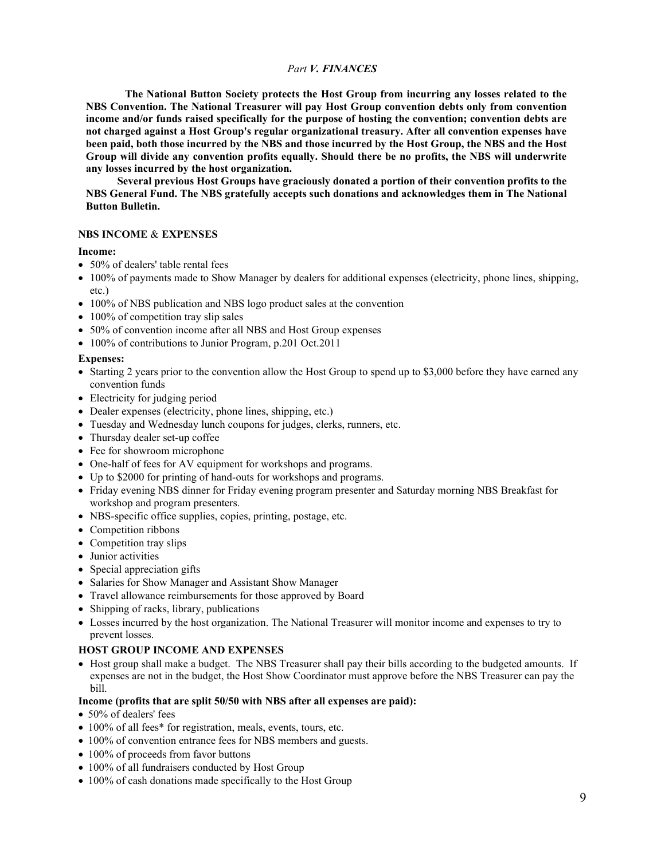#### *Part V. FINANCES*

**The National Button Society protects the Host Group from incurring any losses related to the NBS Convention. The National Treasurer will pay Host Group convention debts only from convention income and/or funds raised specifically for the purpose of hosting the convention; convention debts are not charged against a Host Group's regular organizational treasury. After all convention expenses have been paid, both those incurred by the NBS and those incurred by the Host Group, the NBS and the Host Group will divide any convention profits equally. Should there be no profits, the NBS will underwrite any losses incurred by the host organization.**

**Several previous Host Groups have graciously donated a portion of their convention profits to the NBS General Fund. The NBS gratefully accepts such donations and acknowledges them in The National Button Bulletin.**

#### **NBS INCOME** & **EXPENSES**

#### **Income:**

- 50% of dealers' table rental fees
- 100% of payments made to Show Manager by dealers for additional expenses (electricity, phone lines, shipping, etc.)
- 100% of NBS publication and NBS logo product sales at the convention
- 100% of competition tray slip sales
- 50% of convention income after all NBS and Host Group expenses
- 100% of contributions to Junior Program, p.201 Oct.2011

#### **Expenses:**

- Starting 2 years prior to the convention allow the Host Group to spend up to \$3,000 before they have earned any convention funds
- Electricity for judging period
- Dealer expenses (electricity, phone lines, shipping, etc.)
- Tuesday and Wednesday lunch coupons for judges, clerks, runners, etc.
- Thursday dealer set-up coffee
- Fee for showroom microphone
- One-half of fees for AV equipment for workshops and programs.
- Up to \$2000 for printing of hand-outs for workshops and programs.
- Friday evening NBS dinner for Friday evening program presenter and Saturday morning NBS Breakfast for workshop and program presenters.
- NBS-specific office supplies, copies, printing, postage, etc.
- Competition ribbons
- Competition tray slips
- Junior activities
- Special appreciation gifts
- Salaries for Show Manager and Assistant Show Manager
- Travel allowance reimbursements for those approved by Board
- Shipping of racks, library, publications
- Losses incurred by the host organization. The National Treasurer will monitor income and expenses to try to prevent losses.

#### **HOST GROUP INCOME AND EXPENSES**

• Host group shall make a budget. The NBS Treasurer shall pay their bills according to the budgeted amounts. If expenses are not in the budget, the Host Show Coordinator must approve before the NBS Treasurer can pay the bill.

#### **Income (profits that are split 50/50 with NBS after all expenses are paid):**

- 50% of dealers' fees
- 100% of all fees\* for registration, meals, events, tours, etc.
- 100% of convention entrance fees for NBS members and guests.
- 100% of proceeds from favor buttons
- 100% of all fundraisers conducted by Host Group
- 100% of cash donations made specifically to the Host Group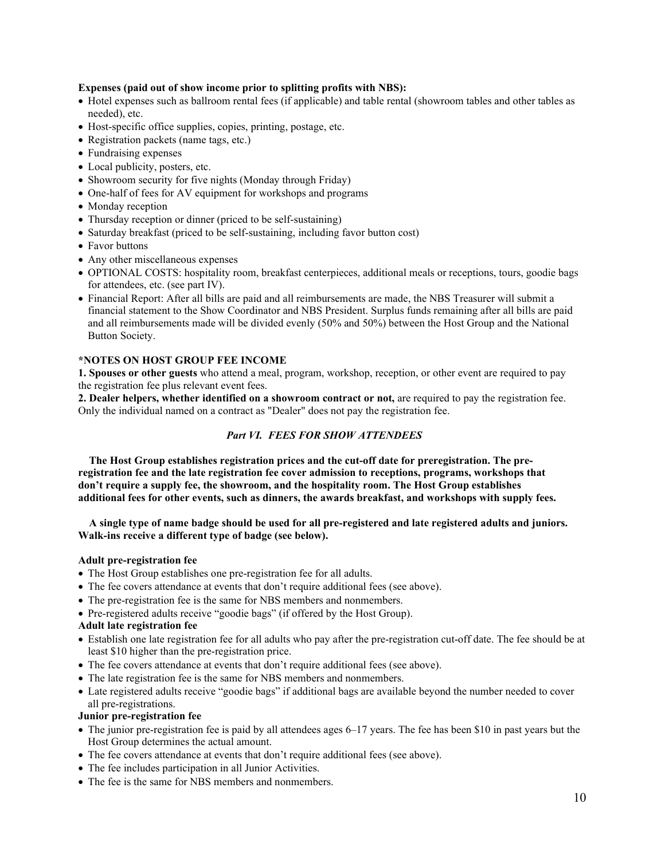#### **Expenses (paid out of show income prior to splitting profits with NBS):**

- Hotel expenses such as ballroom rental fees (if applicable) and table rental (showroom tables and other tables as needed), etc.
- Host-specific office supplies, copies, printing, postage, etc.
- Registration packets (name tags, etc.)
- Fundraising expenses
- Local publicity, posters, etc.
- Showroom security for five nights (Monday through Friday)
- One-half of fees for AV equipment for workshops and programs
- Monday reception
- Thursday reception or dinner (priced to be self-sustaining)
- Saturday breakfast (priced to be self-sustaining, including favor button cost)
- Favor buttons
- Any other miscellaneous expenses
- OPTIONAL COSTS: hospitality room, breakfast centerpieces, additional meals or receptions, tours, goodie bags for attendees, etc. (see part IV).
- Financial Report: After all bills are paid and all reimbursements are made, the NBS Treasurer will submit a financial statement to the Show Coordinator and NBS President. Surplus funds remaining after all bills are paid and all reimbursements made will be divided evenly (50% and 50%) between the Host Group and the National Button Society.

#### **\*NOTES ON HOST GROUP FEE INCOME**

**1. Spouses or other guests** who attend a meal, program, workshop, reception, or other event are required to pay the registration fee plus relevant event fees.

**2. Dealer helpers, whether identified on a showroom contract or not,** are required to pay the registration fee. Only the individual named on a contract as "Dealer" does not pay the registration fee.

#### *Part VI. FEES FOR SHOW ATTENDEES*

 **The Host Group establishes registration prices and the cut-off date for preregistration. The preregistration fee and the late registration fee cover admission to receptions, programs, workshops that don't require a supply fee, the showroom, and the hospitality room. The Host Group establishes additional fees for other events, such as dinners, the awards breakfast, and workshops with supply fees.** 

 **A single type of name badge should be used for all pre-registered and late registered adults and juniors. Walk-ins receive a different type of badge (see below).** 

#### **Adult pre-registration fee**

- The Host Group establishes one pre-registration fee for all adults.
- The fee covers attendance at events that don't require additional fees (see above).
- The pre-registration fee is the same for NBS members and nonmembers.
- Pre-registered adults receive "goodie bags" (if offered by the Host Group).

### **Adult late registration fee**

- Establish one late registration fee for all adults who pay after the pre-registration cut-off date. The fee should be at least \$10 higher than the pre-registration price.
- The fee covers attendance at events that don't require additional fees (see above).
- The late registration fee is the same for NBS members and nonmembers.
- Late registered adults receive "goodie bags" if additional bags are available beyond the number needed to cover all pre-registrations.

## **Junior pre-registration fee**

- The junior pre-registration fee is paid by all attendees ages 6–17 years. The fee has been \$10 in past years but the Host Group determines the actual amount.
- The fee covers attendance at events that don't require additional fees (see above).
- The fee includes participation in all Junior Activities.
- The fee is the same for NBS members and nonmembers.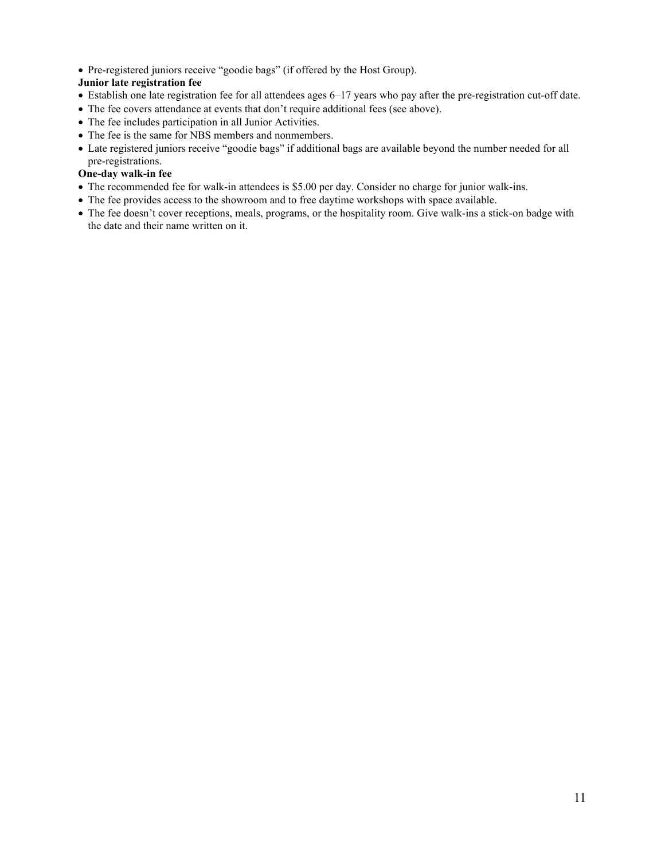• Pre-registered juniors receive "goodie bags" (if offered by the Host Group).

## **Junior late registration fee**

- Establish one late registration fee for all attendees ages 6–17 years who pay after the pre-registration cut-off date.
- The fee covers attendance at events that don't require additional fees (see above).
- The fee includes participation in all Junior Activities.
- The fee is the same for NBS members and nonmembers.
- Late registered juniors receive "goodie bags" if additional bags are available beyond the number needed for all pre-registrations.

## **One-day walk-in fee**

- The recommended fee for walk-in attendees is \$5.00 per day. Consider no charge for junior walk-ins.
- The fee provides access to the showroom and to free daytime workshops with space available.
- The fee doesn't cover receptions, meals, programs, or the hospitality room. Give walk-ins a stick-on badge with the date and their name written on it.